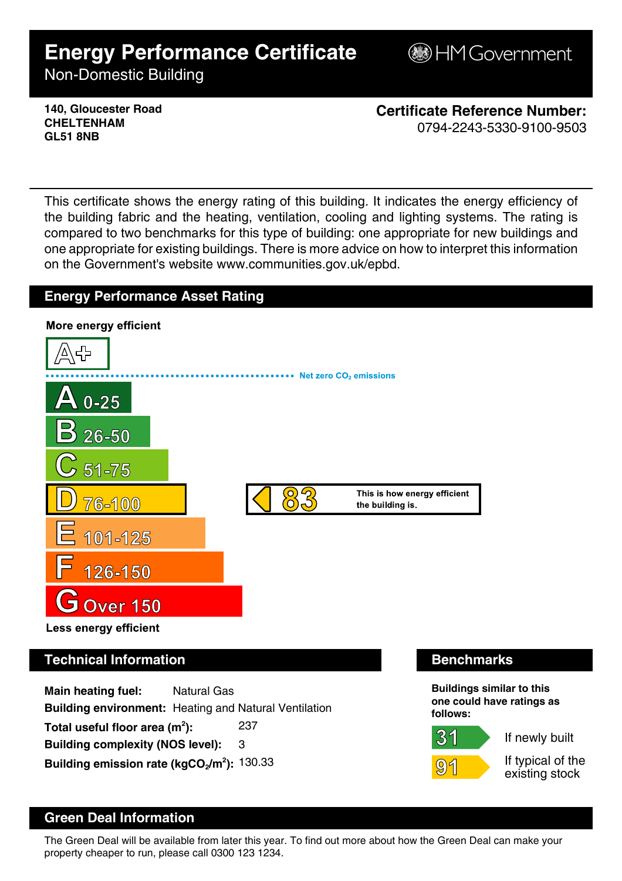# **Energy Performance Certificate**

**B**HM Government

Non-Domestic Building

**140, Gloucester Road CHELTENHAM GL51 8NB**

**Certificate Reference Number:** 0794-2243-5330-9100-9503

This certificate shows the energy rating of this building. It indicates the energy efficiency of the building fabric and the heating, ventilation, cooling and lighting systems. The rating is compared to two benchmarks for this type of building: one appropriate for new buildings and one appropriate for existing buildings. There is more advice on how to interpret this information on the Government's website www.communities.gov.uk/epbd.

## **Energy Performance Asset Rating**



**Main heating fuel:** Natural Gas **Building environment:** Heating and Natural Ventilation Total useful floor area (m<sup>2</sup>): **):** 237 **Building complexity (NOS level):** 3 **Building emission rate (kgCO2/m<sup>2</sup> ):** 130.33

31



If newly built

If typical of the existing stock

# **Green Deal Information**

The Green Deal will be available from later this year. To find out more about how the Green Deal can make your property cheaper to run, please call 0300 123 1234.